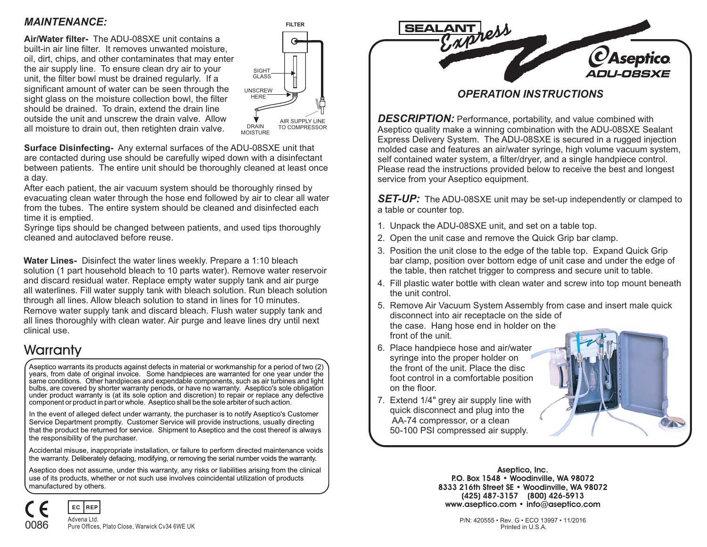

#### *OPERATION INSTRUCTIONS*

*DESCRIPTION:* Performance, portability, and value combined with Aseptico quality make <sup>a</sup> winning combination with the ADU-08SXE Sealant Express Delivery System. The ADU-08SXE is secured in <sup>a</sup> rugged injection molded case and features an air/water syringe, high volume vacuum system, self contained water system, <sup>a</sup> filter/dryer, and <sup>a</sup> single handpiece control. Please read the instructions provided below to receive the best and longest service from your Aseptico equipment.

*SET-UP:* The ADU-08SXE unit may be set-up independently or clamped to <sup>a</sup> table or counter top.

- 1. Unpack the ADU-08SXE unit, and set on <sup>a</sup> table top.
- 2. Open the unit case and remove the Quick Grip bar clamp.
- 3. Position the unit close to the edge of the table top. Expand Quick Grip bar clamp, position over bottom edge of unit case and under the edge of the table, then ratchet trigger to compress and secure unit to table.
- 4. Fill plastic water bottle with clean water and screw into top mount beneath the unit control.
- 5. Remove Air Vacuum System Assembly from case and insert male quick disconnect into air receptacle on the side of the case. Hang hose end in holder on the front of the unit.
- 6. Place handpiece hose and air/water syringe into the proper holder on the front of the unit. Place the discfoot control in <sup>a</sup> comfortable position on the floor.
- 7. Extend 1/4" grey air supply line with quick disconnect and plug into the AA-74 compressor, or <sup>a</sup> clean 50-100 PSI compressed air supply.



**Aseptico, Inc. P.O. Box <sup>1548</sup> Woodinville, WA <sup>98072</sup> •8333 216th Street SE • Woodinville, WA <sup>98072</sup> (425) 487-3157 (800) 426-5913 www.aseptico.com • info@aseptico.com**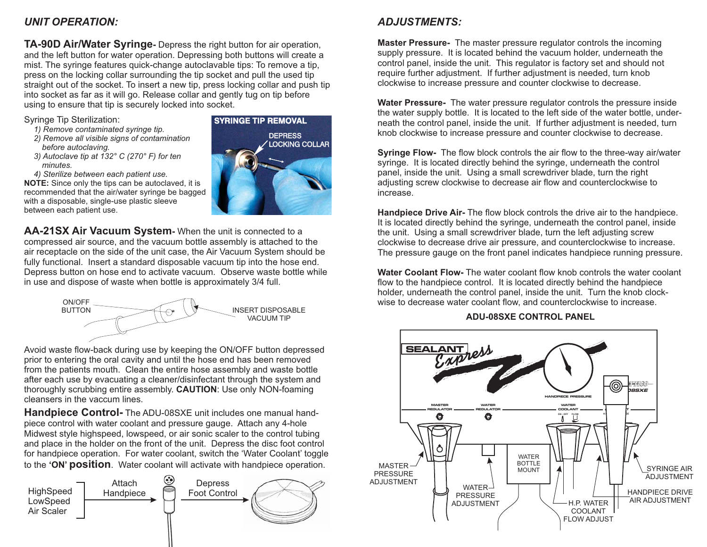### *UNIT OPERATION:*

**TA-90D Air/Water Syringe-** Depress the right button for air operation, and the left button for water operation. Depressing both buttons will create <sup>a</sup> mist. The syringe features quick-change autoclavable tips: To remove <sup>a</sup> tip, press on the locking collar surrounding the tip socket and pull the used tip straight out of the socket. To insert <sup>a</sup> new tip, press locking collar and push tip into socket as far as it will go. Release collar and gently tug on tip before using to ensure that tip is securely locked into socket.

Syringe Tip Sterilization:

- *1) Remove contaminated syringe tip.*
- *2) Remove all visible signs of contamination before autoclaving.*
- *3) Autoclave tip at 132° C (270° F) for ten minutes.*
- *4) Sterilize between each patient use.*

**NOTE:** Since only the tips can be autoclaved, it is recommended that the air/water syringe be bagged with <sup>a</sup> disposable, single-use plastic sleeve between each patient use.



**AA-21SX Air Vacuum System -**When the unit is connected to acompressed air source, and the vacuum bottle assembly is attached to the air receptacle on the side of the unit case, the Air Vacuum System should be fully functional. Insert <sup>a</sup> standard disposable vacuum tip into the hose end. Depress button on hose end to activate vacuum. Observe waste bottle while in use and dispose of waste when bottle is approximately 3/4 full.



Avoid waste flow-back during use by keeping the ON/OFF button depressed prior to entering the oral cavity and until the hose end has been removed from the patients mouth. Clean the entire hose assembly and waste bottle from the patients mouth. Clean the entire hose assembly and waste bottle<br>after each use by evacuating a cleaner/disinfectant through the system and<br>theroughly scrubbing entire assembly **CAUTION:** Use only NON foaming thoroughly scrubbing entire assembly. **CAUTION**: Use only NON-foaming cleansers in the vaccum lines.

**Handpiece Control-**The ADU-08SXE unit includes one manual handto the '**ON' position**. Water coolant will activate with handpiece operation. piece control with water coolant and pressure gauge. Attach any 4-hole Midwest style highspeed, lowspeed, or air sonic scaler to the control tubing and place in the holder on the front of the unit. Depress the disc foot control for handpiece operation. For water coolant, switch the 'Water Coolant' toggle

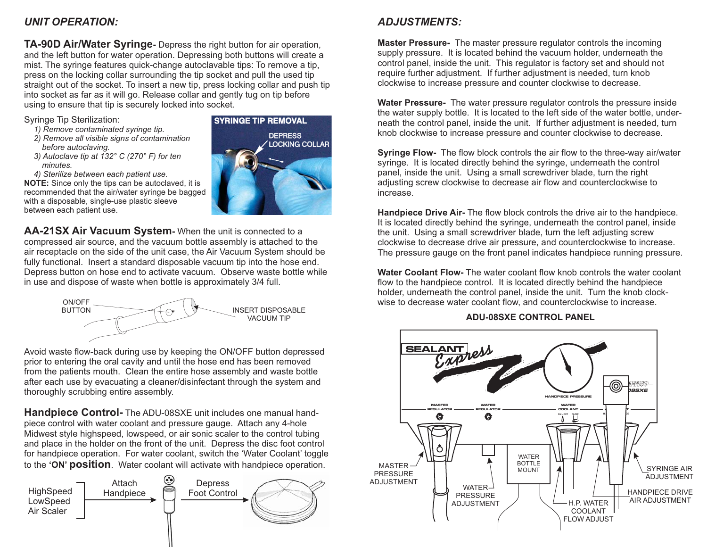#### *ADJUSTMENTS:*

**Master Pressure-** The master pressure regulator controls the incoming

**Water Pressure-** The water pressure regulator controls the pressure inside

**Syringe Flow-** The flow block controls the air flow to the three-way air/water **Master Pressure-** The master pressure regulator controls the incoming<br>supply pressure. It is located behind the vacuum holder, underneath the<br>control panel, inside the unit. This regulator is factory set and should not<br>re

It is located directly behind the syringe, underneath the control panel, inside the unit. Using <sup>a</sup> small screwdriver blade, turn the left adjusting screw clockwise to decrease drive air pressure, and counterclockwise to increase. The pressure gauge on the front panel indicates handpiece running pressure.

**Water Coolant Flow-** The water coolant flow knob controls the water coolant flow to the handpiece control. It is located directly behind the handpiece holder, underneath the control panel, inside the unit. Turn the knob clockwise to decrease water coolant flow, and counterclockwise to increase.



**ADU-08SXE CONTROL PANEL**